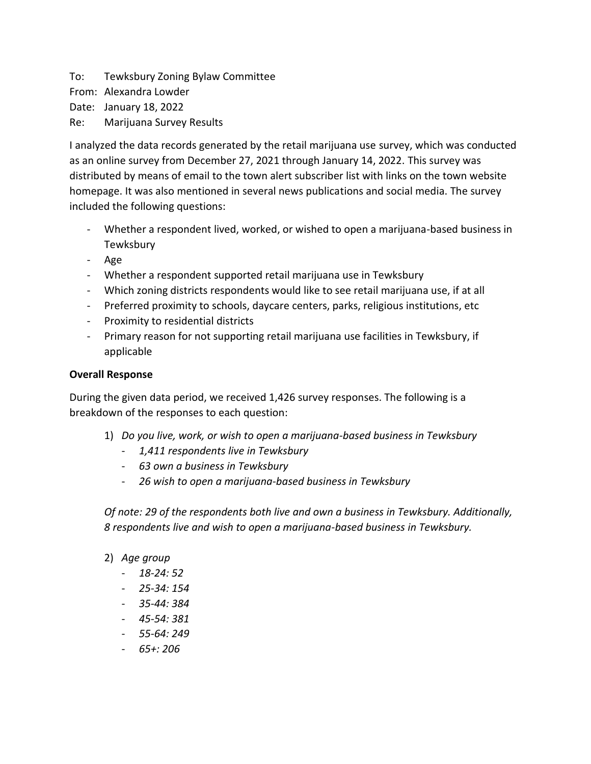To: Tewksbury Zoning Bylaw Committee From: Alexandra Lowder Date: January 18, 2022 Re: Marijuana Survey Results

I analyzed the data records generated by the retail marijuana use survey, which was conducted as an online survey from December 27, 2021 through January 14, 2022. This survey was distributed by means of email to the town alert subscriber list with links on the town website homepage. It was also mentioned in several news publications and social media. The survey included the following questions:

- Whether a respondent lived, worked, or wished to open a marijuana-based business in Tewksbury
- Age
- Whether a respondent supported retail marijuana use in Tewksbury
- Which zoning districts respondents would like to see retail marijuana use, if at all
- Preferred proximity to schools, daycare centers, parks, religious institutions, etc
- Proximity to residential districts
- Primary reason for not supporting retail marijuana use facilities in Tewksbury, if applicable

# **Overall Response**

During the given data period, we received 1,426 survey responses. The following is a breakdown of the responses to each question:

- 1) *Do you live, work, or wish to open a marijuana-based business in Tewksbury*
	- *1,411 respondents live in Tewksbury*
	- *63 own a business in Tewksbury*
	- *26 wish to open a marijuana-based business in Tewksbury*

*Of note: 29 of the respondents both live and own a business in Tewksbury. Additionally, 8 respondents live and wish to open a marijuana-based business in Tewksbury.*

- 2) *Age group*
	- *18-24: 52*
	- *25-34: 154*
	- *35-44: 384*
	- *45-54: 381*
	- *55-64: 249*
	- *65+: 206*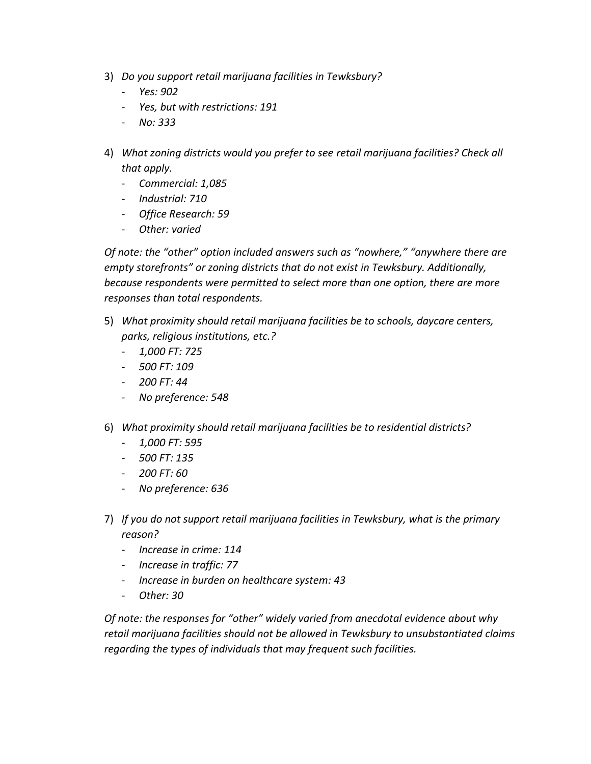- 3) *Do you support retail marijuana facilities in Tewksbury?*
	- *Yes: 902*
	- *Yes, but with restrictions: 191*
	- *No: 333*
- 4) *What zoning districts would you prefer to see retail marijuana facilities? Check all that apply.*
	- *Commercial: 1,085*
	- *Industrial: 710*
	- *Office Research: 59*
	- *Other: varied*

*Of note: the "other" option included answers such as "nowhere," "anywhere there are empty storefronts" or zoning districts that do not exist in Tewksbury. Additionally, because respondents were permitted to select more than one option, there are more responses than total respondents.* 

- 5) *What proximity should retail marijuana facilities be to schools, daycare centers, parks, religious institutions, etc.?*
	- *1,000 FT: 725*
	- *500 FT: 109*
	- *200 FT: 44*
	- *No preference: 548*
- 6) *What proximity should retail marijuana facilities be to residential districts?*
	- *1,000 FT: 595*
	- *500 FT: 135*
	- *200 FT: 60*
	- *No preference: 636*
- 7) *If you do not support retail marijuana facilities in Tewksbury, what is the primary reason?*
	- *Increase in crime: 114*
	- *Increase in traffic: 77*
	- *Increase in burden on healthcare system: 43*
	- *Other: 30*

*Of note: the responses for "other" widely varied from anecdotal evidence about why retail marijuana facilities should not be allowed in Tewksbury to unsubstantiated claims regarding the types of individuals that may frequent such facilities.*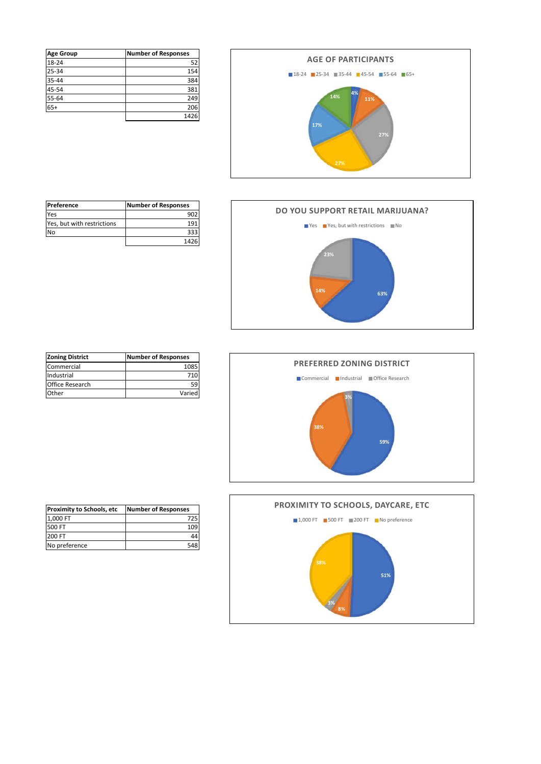| <b>Age Group</b> | <b>Number of Responses</b> |
|------------------|----------------------------|
| 18-24            | 52                         |
| 25-34            | 154                        |
| 35-44            | 384                        |
| 45-54            | 381                        |
| 55-64            | 249                        |
| $65+$            | 206                        |
|                  | 1426                       |





| Preference                 | <b>Number of Responses</b> |
|----------------------------|----------------------------|
| Yes                        | 902                        |
| Yes, but with restrictions |                            |
| No                         | 333                        |
|                            | 1426                       |





| <b>Zoning District</b> | <b>Number of Responses</b> |
|------------------------|----------------------------|
| Commercial             | 1085                       |
| Industrial             | 710                        |
| Office Research        | 59                         |
| Other                  | Varied                     |

| <b>Number of Responses</b> |
|----------------------------|
| 725                        |
| 109                        |
| 44                         |
| 548                        |
|                            |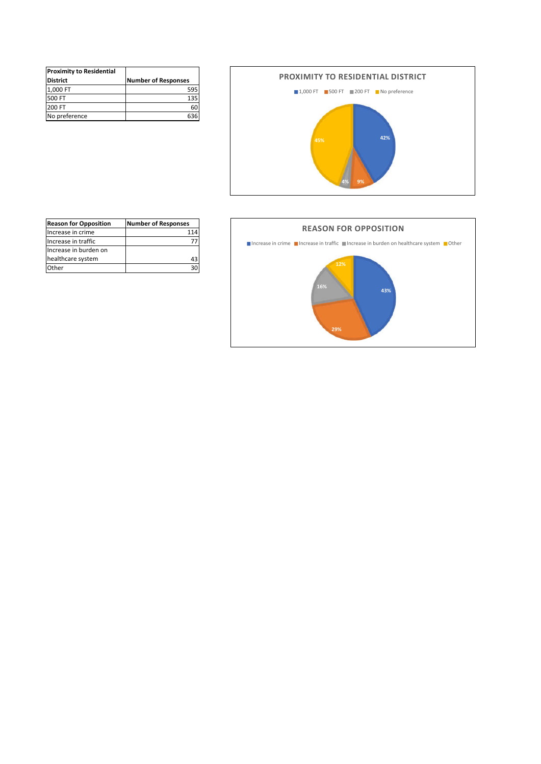| <b>Proximity to Residential</b> |                            |
|---------------------------------|----------------------------|
| <b>District</b>                 | <b>Number of Responses</b> |
| 1,000 FT                        | 595                        |
| 500 FT                          | 135                        |
| 200 FT                          | 60                         |
| No preference                   | 36                         |





| <b>Reason for Opposition</b> | <b>Number of Responses</b> |
|------------------------------|----------------------------|
| Increase in crime            | 114                        |
| Increase in traffic          | 77                         |
| Increase in burden on        |                            |
| healthcare system            | 43                         |
| Other                        | 30                         |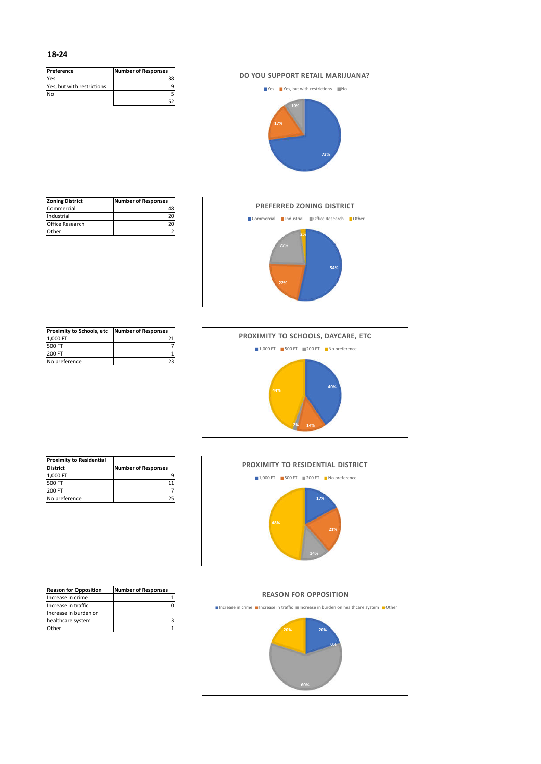| Preference                 | <b>Number of Responses</b> |
|----------------------------|----------------------------|
| Yes                        |                            |
| Yes, but with restrictions |                            |
| N٥                         |                            |
|                            |                            |



| <b>Zoning District</b> | <b>Number of Responses</b> |
|------------------------|----------------------------|
| Commercial             |                            |
| Industrial             | 20                         |
| Office Research        |                            |
| Other                  |                            |



| <b>Proximity to Schools, etc</b> | <b>Number of Responses</b> |
|----------------------------------|----------------------------|
| 1.000 FT                         |                            |
| 500 FT                           |                            |
| 200 FT                           |                            |
| No preference                    |                            |



| <b>Proximity to Residential</b> |                            |
|---------------------------------|----------------------------|
| <b>District</b>                 | <b>Number of Responses</b> |
| 1.000 FT                        |                            |
| 500 FT                          |                            |
| 200 FT                          |                            |
| No preference                   |                            |



| <b>Reason for Opposition</b> | <b>Number of Responses</b> |
|------------------------------|----------------------------|
| Increase in crime            |                            |
| Increase in traffic          |                            |
| Increase in burden on        |                            |
| healthcare system            |                            |
| )ther                        |                            |

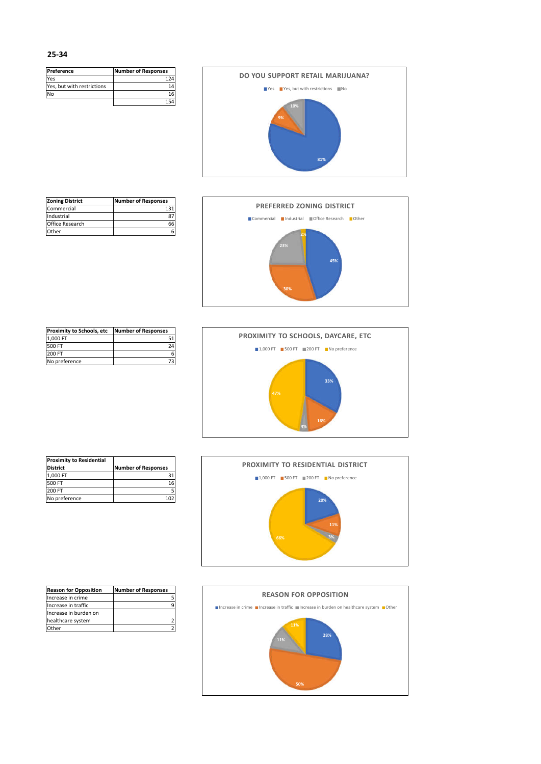| Preference                 | <b>Number of Responses</b> |
|----------------------------|----------------------------|
| Yes                        | 124                        |
| Yes, but with restrictions |                            |
| N٥                         | 16                         |
|                            |                            |



| <b>Zoning District</b> | <b>Number of Responses</b> |
|------------------------|----------------------------|
| Commercial             |                            |
| Industrial             |                            |
| Office Research        |                            |
| . Ither                |                            |



| <b>Proximity to Schools, etc</b> | <b>Number of Responses</b> |
|----------------------------------|----------------------------|
| 1.000 FT                         |                            |
| 500 FT                           | 24                         |
| 200 FT                           |                            |
| No preference                    |                            |



| <b>Proximity to Residential</b> |                            |
|---------------------------------|----------------------------|
| <b>District</b>                 | <b>Number of Responses</b> |
| 1.000 FT                        |                            |
| 500 FT                          | 16                         |
| 200 FT                          |                            |
| No preference                   |                            |



| <b>Reason for Opposition</b> | <b>Number of Responses</b> |
|------------------------------|----------------------------|
| Increase in crime            |                            |
| Increase in traffic          |                            |
| Increase in burden on        |                            |
| healthcare system            |                            |
| Other                        |                            |

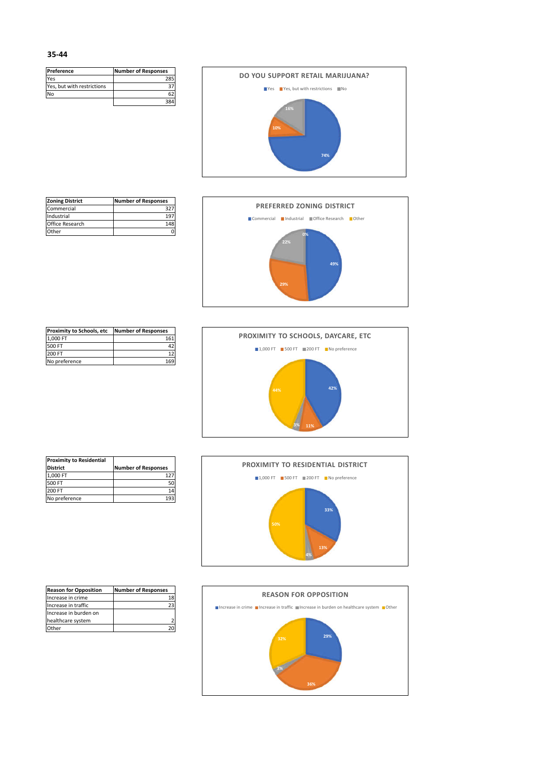| Preference                 | <b>Number of Responses</b> |
|----------------------------|----------------------------|
| Yes                        | 28                         |
| Yes, but with restrictions |                            |
| N٥                         |                            |
|                            | 28                         |



| <b>Zoning District</b> | <b>Number of Responses</b> |
|------------------------|----------------------------|
| Commercial             | 327                        |
| Industrial             |                            |
| Office Research        | 148                        |
| . Ither                |                            |



| <b>Proximity to Schools, etc</b> | <b>Number of Responses</b> |
|----------------------------------|----------------------------|
| 1.000 FT                         | 161                        |
| 500 FT                           |                            |
| 200 FT                           | 12                         |
| No preference                    |                            |



| <b>Proximity to Residential</b> |                            |
|---------------------------------|----------------------------|
| <b>District</b>                 | <b>Number of Responses</b> |
| 1.000 FT                        | 127                        |
| 500 FT                          |                            |
| 200 FT                          | 14                         |
| No preference                   | 19.3                       |



| <b>Reason for Opposition</b> | <b>Number of Responses</b> |
|------------------------------|----------------------------|
| Increase in crime            | 18                         |
| Increase in traffic          | 23                         |
| Increase in burden on        |                            |
| healthcare system            |                            |
| <sup>1</sup> ther            |                            |

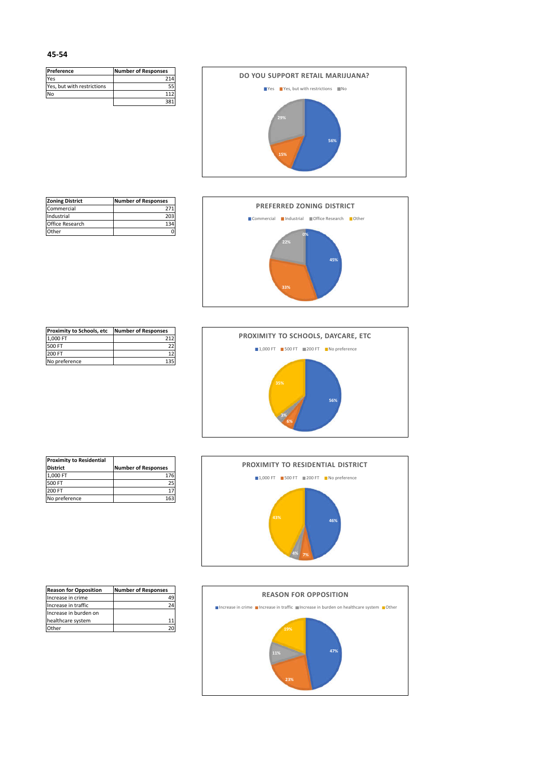| Preference                 | <b>Number of Responses</b> |
|----------------------------|----------------------------|
| Yes                        | 214                        |
| Yes, but with restrictions |                            |
| N٥                         | 112                        |
|                            |                            |



| <b>Zoning District</b> | <b>Number of Responses</b> |
|------------------------|----------------------------|
| Commercial             | 271                        |
| Industrial             | 203                        |
| Office Research        | 134                        |
| Other                  |                            |



| <b>Proximity to Schools, etc</b> | <b>Number of Responses</b> |
|----------------------------------|----------------------------|
| 1.000 FT                         | 212                        |
| 500 FT                           |                            |
| 200 FT                           |                            |
| No preference                    |                            |



| <b>Proximity to Residential</b> |                            |
|---------------------------------|----------------------------|
| <b>District</b>                 | <b>Number of Responses</b> |
| 1.000 FT                        | 176                        |
| 500 FT                          |                            |
| 200 FT                          |                            |
| No preference                   | 16 <sup>3</sup>            |



| <b>Reason for Opposition</b> | <b>Number of Responses</b> |
|------------------------------|----------------------------|
| Increase in crime            |                            |
| Increase in traffic          |                            |
| Increase in burden on        |                            |
| healthcare system            |                            |
| )ther                        |                            |

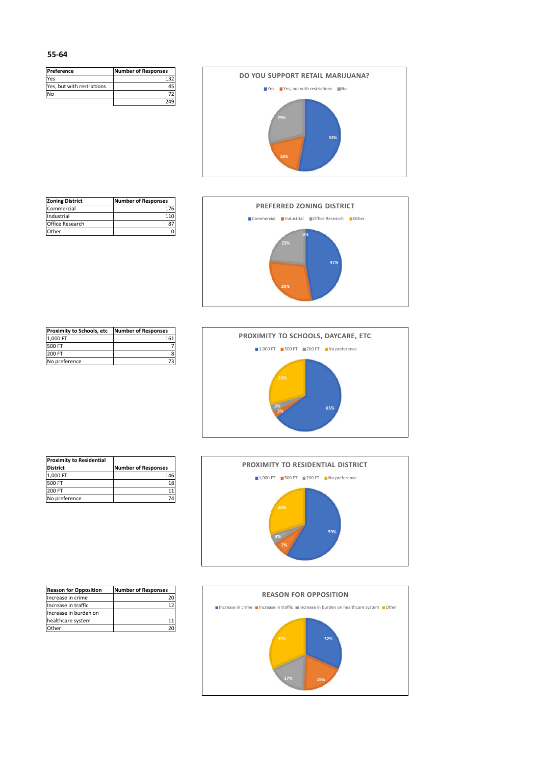| Preference                 | <b>Number of Responses</b> |
|----------------------------|----------------------------|
| Yes                        | 132                        |
| Yes, but with restrictions |                            |
| N٥                         |                            |
|                            | 249                        |



| <b>Zoning District</b> | <b>Number of Responses</b> |
|------------------------|----------------------------|
| Commercial             | 176                        |
| Industrial             |                            |
| Office Research        |                            |
| Other                  |                            |



| <b>Proximity to Schools, etc</b> | <b>Number of Responses</b> |
|----------------------------------|----------------------------|
| 1.000 FT                         | 161                        |
| 500 FT                           |                            |
| 200 FT                           |                            |
| No preference                    |                            |



| <b>Proximity to Residential</b> |                            |
|---------------------------------|----------------------------|
| <b>District</b>                 | <b>Number of Responses</b> |
| 1.000 FT                        | 146                        |
| 500 FT                          | 18                         |
| 200 FT                          |                            |
| No preference                   |                            |



| <b>Reason for Opposition</b> | <b>Number of Responses</b> |
|------------------------------|----------------------------|
| Increase in crime            |                            |
| Increase in traffic          |                            |
| Increase in burden on        |                            |
| healthcare system            |                            |
| <b>ther</b>                  |                            |